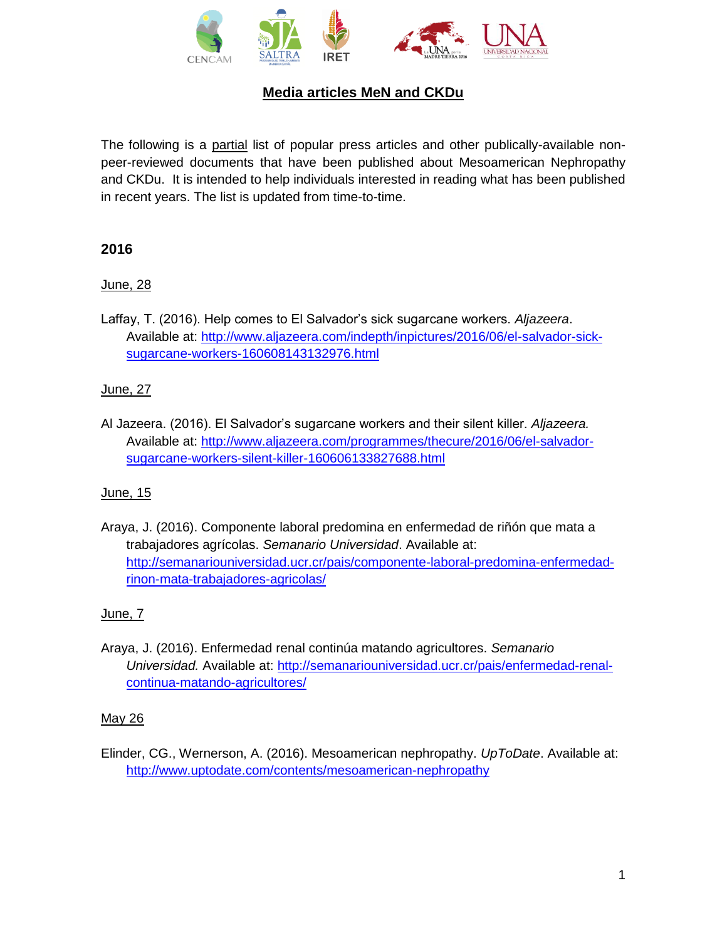

# **Media articles MeN and CKDu**

The following is a partial list of popular press articles and other publically-available nonpeer-reviewed documents that have been published about Mesoamerican Nephropathy and CKDu. It is intended to help individuals interested in reading what has been published in recent years. The list is updated from time-to-time.

### **2016**

# June, 28

Laffay, T. (2016). Help comes to El Salvador's sick sugarcane workers. *Aljazeera*. Available at: [http://www.aljazeera.com/indepth/inpictures/2016/06/el-salvador-sick](http://www.aljazeera.com/indepth/inpictures/2016/06/el-salvador-sick-sugarcane-workers-160608143132976.html)[sugarcane-workers-160608143132976.html](http://www.aljazeera.com/indepth/inpictures/2016/06/el-salvador-sick-sugarcane-workers-160608143132976.html)

### June, 27

Al Jazeera. (2016). El Salvador's sugarcane workers and their silent killer. *Aljazeera.* Available at: [http://www.aljazeera.com/programmes/thecure/2016/06/el-salvador](http://www.aljazeera.com/programmes/thecure/2016/06/el-salvador-sugarcane-workers-silent-killer-160606133827688.html)[sugarcane-workers-silent-killer-160606133827688.html](http://www.aljazeera.com/programmes/thecure/2016/06/el-salvador-sugarcane-workers-silent-killer-160606133827688.html)

#### June, 15

Araya, J. (2016). Componente laboral predomina en enfermedad de riñón que mata a trabajadores agrícolas. *Semanario Universidad*. Available at: [http://semanariouniversidad.ucr.cr/pais/componente-laboral-predomina-enfermedad](http://semanariouniversidad.ucr.cr/pais/componente-laboral-predomina-enfermedad-rinon-mata-trabajadores-agricolas/)[rinon-mata-trabajadores-agricolas/](http://semanariouniversidad.ucr.cr/pais/componente-laboral-predomina-enfermedad-rinon-mata-trabajadores-agricolas/)

# June, 7

Araya, J. (2016). Enfermedad renal continúa matando agricultores. *Semanario Universidad.* Available at: [http://semanariouniversidad.ucr.cr/pais/enfermedad-renal](http://semanariouniversidad.ucr.cr/pais/enfermedad-renal-continua-matando-agricultores/)[continua-matando-agricultores/](http://semanariouniversidad.ucr.cr/pais/enfermedad-renal-continua-matando-agricultores/)

#### May 26

Elinder, CG., Wernerson, A. (2016). Mesoamerican nephropathy. *UpToDate*. Available at: <http://www.uptodate.com/contents/mesoamerican-nephropathy>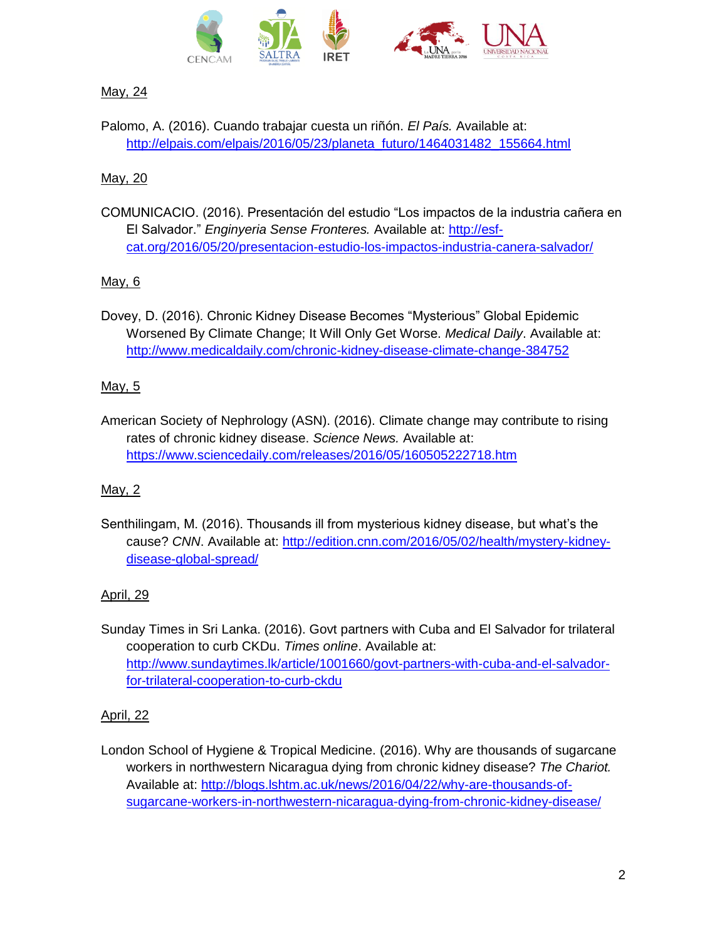

# May, 24

Palomo, A. (2016). Cuando trabajar cuesta un riñón. *El País.* Available at: [http://elpais.com/elpais/2016/05/23/planeta\\_futuro/1464031482\\_155664.html](http://elpais.com/elpais/2016/05/23/planeta_futuro/1464031482_155664.html)

# May, 20

COMUNICACIO. (2016). Presentación del estudio "Los impactos de la industria cañera en El Salvador." *Enginyeria Sense Fronteres.* Available at: [http://esf](http://esf-cat.org/2016/05/20/presentacion-estudio-los-impactos-industria-canera-salvador/)[cat.org/2016/05/20/presentacion-estudio-los-impactos-industria-canera-salvador/](http://esf-cat.org/2016/05/20/presentacion-estudio-los-impactos-industria-canera-salvador/)

# May, 6

Dovey, D. (2016). Chronic Kidney Disease Becomes "Mysterious" Global Epidemic Worsened By Climate Change; It Will Only Get Worse. *Medical Daily*. Available at: <http://www.medicaldaily.com/chronic-kidney-disease-climate-change-384752>

# May, 5

American Society of Nephrology (ASN). (2016). Climate change may contribute to rising rates of chronic kidney disease. *Science News.* Available at: <https://www.sciencedaily.com/releases/2016/05/160505222718.htm>

# May, 2

Senthilingam, M. (2016). Thousands ill from mysterious kidney disease, but what's the cause? *CNN*. Available at: [http://edition.cnn.com/2016/05/02/health/mystery-kidney](http://edition.cnn.com/2016/05/02/health/mystery-kidney-disease-global-spread/)[disease-global-spread/](http://edition.cnn.com/2016/05/02/health/mystery-kidney-disease-global-spread/)

# April, 29

Sunday Times in Sri Lanka. (2016). Govt partners with Cuba and El Salvador for trilateral cooperation to curb CKDu. *Times online*. Available at: [http://www.sundaytimes.lk/article/1001660/govt-partners-with-cuba-and-el-salvador](http://www.sundaytimes.lk/article/1001660/govt-partners-with-cuba-and-el-salvador-for-trilateral-cooperation-to-curb-ckdu)[for-trilateral-cooperation-to-curb-ckdu](http://www.sundaytimes.lk/article/1001660/govt-partners-with-cuba-and-el-salvador-for-trilateral-cooperation-to-curb-ckdu)

# April, 22

London School of Hygiene & Tropical Medicine. (2016). Why are thousands of sugarcane workers in northwestern Nicaragua dying from chronic kidney disease? *The Chariot.* Available at: [http://blogs.lshtm.ac.uk/news/2016/04/22/why-are-thousands-of](http://blogs.lshtm.ac.uk/news/2016/04/22/why-are-thousands-of-sugarcane-workers-in-northwestern-nicaragua-dying-from-chronic-kidney-disease/)[sugarcane-workers-in-northwestern-nicaragua-dying-from-chronic-kidney-disease/](http://blogs.lshtm.ac.uk/news/2016/04/22/why-are-thousands-of-sugarcane-workers-in-northwestern-nicaragua-dying-from-chronic-kidney-disease/)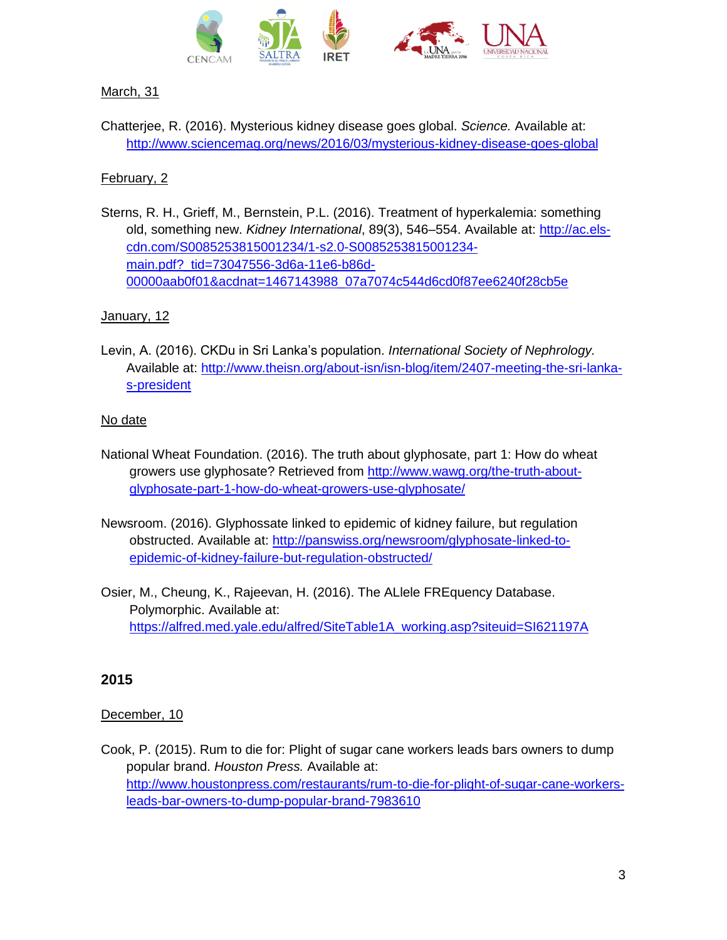

# March, 31

Chatterjee, R. (2016). Mysterious kidney disease goes global. *Science.* Available at: <http://www.sciencemag.org/news/2016/03/mysterious-kidney-disease-goes-global>

### February, 2

Sterns, R. H., Grieff, M., Bernstein, P.L. (2016). Treatment of hyperkalemia: something old, something new. *Kidney International*, 89(3), 546–554. Available at: [http://ac.els](http://ac.els-cdn.com/S0085253815001234/1-s2.0-S0085253815001234-main.pdf?_tid=73047556-3d6a-11e6-b86d-00000aab0f01&acdnat=1467143988_07a7074c544d6cd0f87ee6240f28cb5e)[cdn.com/S0085253815001234/1-s2.0-S0085253815001234](http://ac.els-cdn.com/S0085253815001234/1-s2.0-S0085253815001234-main.pdf?_tid=73047556-3d6a-11e6-b86d-00000aab0f01&acdnat=1467143988_07a7074c544d6cd0f87ee6240f28cb5e) [main.pdf?\\_tid=73047556-3d6a-11e6-b86d-](http://ac.els-cdn.com/S0085253815001234/1-s2.0-S0085253815001234-main.pdf?_tid=73047556-3d6a-11e6-b86d-00000aab0f01&acdnat=1467143988_07a7074c544d6cd0f87ee6240f28cb5e)[00000aab0f01&acdnat=1467143988\\_07a7074c544d6cd0f87ee6240f28cb5e](http://ac.els-cdn.com/S0085253815001234/1-s2.0-S0085253815001234-main.pdf?_tid=73047556-3d6a-11e6-b86d-00000aab0f01&acdnat=1467143988_07a7074c544d6cd0f87ee6240f28cb5e)

### January, 12

Levin, A. (2016). CKDu in Sri Lanka's population. *International Society of Nephrology.*  Available at: [http://www.theisn.org/about-isn/isn-blog/item/2407-meeting-the-sri-lanka](http://www.theisn.org/about-isn/isn-blog/item/2407-meeting-the-sri-lanka-s-president)[s-president](http://www.theisn.org/about-isn/isn-blog/item/2407-meeting-the-sri-lanka-s-president)

#### No date

- National Wheat Foundation. (2016). The truth about glyphosate, part 1: How do wheat growers use glyphosate? Retrieved from [http://www.wawg.org/the-truth-about](http://www.wawg.org/the-truth-about-glyphosate-part-1-how-do-wheat-growers-use-glyphosate/)[glyphosate-part-1-how-do-wheat-growers-use-glyphosate/](http://www.wawg.org/the-truth-about-glyphosate-part-1-how-do-wheat-growers-use-glyphosate/)
- Newsroom. (2016). Glyphossate linked to epidemic of kidney failure, but regulation obstructed. Available at: [http://panswiss.org/newsroom/glyphosate-linked-to](http://panswiss.org/newsroom/glyphosate-linked-to-epidemic-of-kidney-failure-but-regulation-obstructed/)[epidemic-of-kidney-failure-but-regulation-obstructed/](http://panswiss.org/newsroom/glyphosate-linked-to-epidemic-of-kidney-failure-but-regulation-obstructed/)
- Osier, M., Cheung, K., Rajeevan, H. (2016). The ALlele FREquency Database. Polymorphic. Available at: [https://alfred.med.yale.edu/alfred/SiteTable1A\\_working.asp?siteuid=SI621197A](https://alfred.med.yale.edu/alfred/SiteTable1A_working.asp?siteuid=SI621197A)

# **2015**

#### December, 10

Cook, P. (2015). Rum to die for: Plight of sugar cane workers leads bars owners to dump popular brand. *Houston Press.* Available at: [http://www.houstonpress.com/restaurants/rum-to-die-for-plight-of-sugar-cane-workers](http://www.houstonpress.com/restaurants/rum-to-die-for-plight-of-sugar-cane-workers-leads-bar-owners-to-dump-popular-brand-7983610)[leads-bar-owners-to-dump-popular-brand-7983610](http://www.houstonpress.com/restaurants/rum-to-die-for-plight-of-sugar-cane-workers-leads-bar-owners-to-dump-popular-brand-7983610)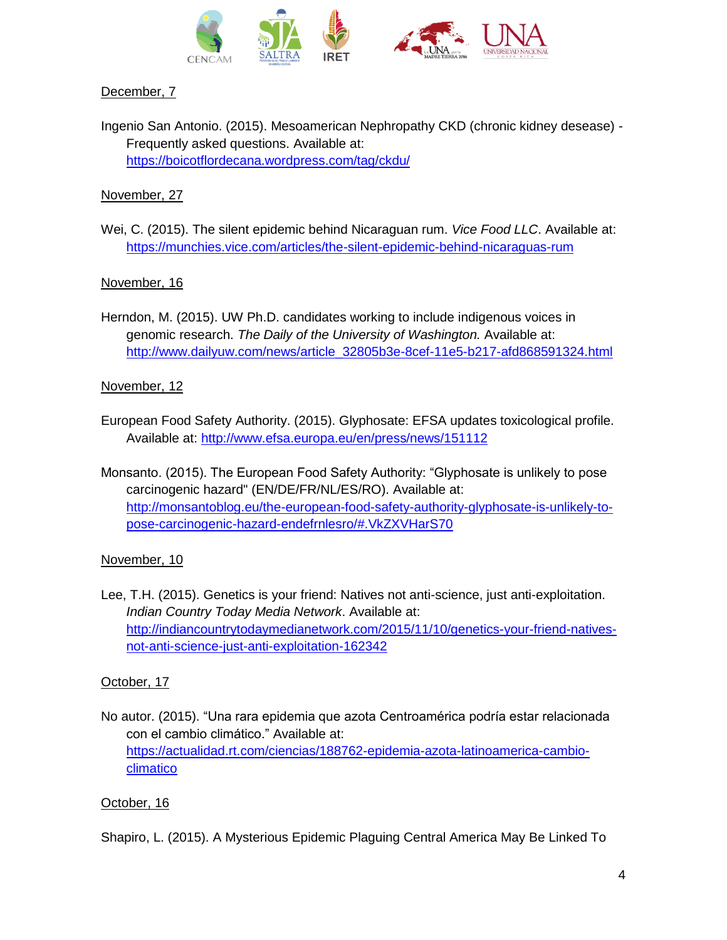

### December, 7

Ingenio San Antonio. (2015). Mesoamerican Nephropathy CKD (chronic kidney desease) - Frequently asked questions. Available at: <https://boicotflordecana.wordpress.com/tag/ckdu/>

### November, 27

Wei, C. (2015). The silent epidemic behind Nicaraguan rum. *Vice Food LLC*. Available at: <https://munchies.vice.com/articles/the-silent-epidemic-behind-nicaraguas-rum>

### November, 16

Herndon, M. (2015). UW Ph.D. candidates working to include indigenous voices in genomic research. *The Daily of the University of Washington.* Available at: [http://www.dailyuw.com/news/article\\_32805b3e-8cef-11e5-b217-afd868591324.html](http://www.dailyuw.com/news/article_32805b3e-8cef-11e5-b217-afd868591324.html)

#### November, 12

- European Food Safety Authority. (2015). Glyphosate: EFSA updates toxicological profile. Available at:<http://www.efsa.europa.eu/en/press/news/151112>
- Monsanto. (2015). The European Food Safety Authority: "Glyphosate is unlikely to pose carcinogenic hazard" (EN/DE/FR/NL/ES/RO). Available at: [http://monsantoblog.eu/the-european-food-safety-authority-glyphosate-is-unlikely-to](http://monsantoblog.eu/the-european-food-safety-authority-glyphosate-is-unlikely-to-pose-carcinogenic-hazard-endefrnlesro/#.VkZXVHarS70)[pose-carcinogenic-hazard-endefrnlesro/#.VkZXVHarS70](http://monsantoblog.eu/the-european-food-safety-authority-glyphosate-is-unlikely-to-pose-carcinogenic-hazard-endefrnlesro/#.VkZXVHarS70)

# November, 10

Lee, T.H. (2015). Genetics is your friend: Natives not anti-science, just anti-exploitation. *Indian Country Today Media Network*. Available at: [http://indiancountrytodaymedianetwork.com/2015/11/10/genetics-your-friend-natives](http://indiancountrytodaymedianetwork.com/2015/11/10/genetics-your-friend-natives-not-anti-science-just-anti-exploitation-162342)[not-anti-science-just-anti-exploitation-162342](http://indiancountrytodaymedianetwork.com/2015/11/10/genetics-your-friend-natives-not-anti-science-just-anti-exploitation-162342)

# October, 17

No autor. (2015). "Una rara epidemia que azota Centroamérica podría estar relacionada con el cambio climático." Available at: [https://actualidad.rt.com/ciencias/188762-epidemia-azota-latinoamerica-cambio](https://actualidad.rt.com/ciencias/188762-epidemia-azota-latinoamerica-cambio-climatico)[climatico](https://actualidad.rt.com/ciencias/188762-epidemia-azota-latinoamerica-cambio-climatico)

#### October, 16

Shapiro, L. (2015). A Mysterious Epidemic Plaguing Central America May Be Linked To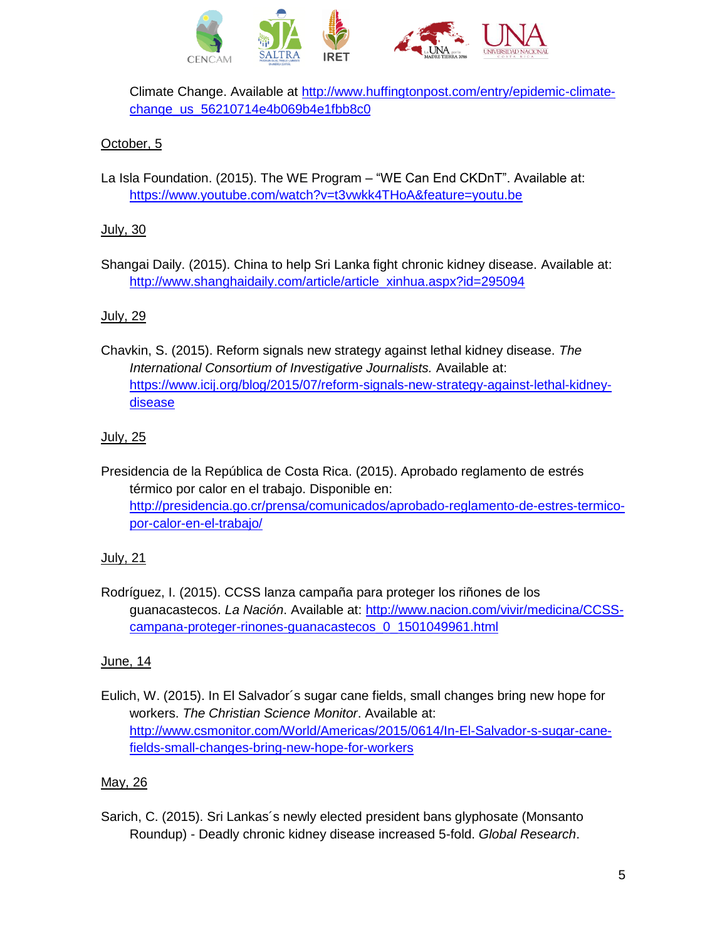

Climate Change. Available at [http://www.huffingtonpost.com/entry/epidemic-climate](http://www.huffingtonpost.com/entry/epidemic-climate-change_us_56210714e4b069b4e1fbb8c0)[change\\_us\\_56210714e4b069b4e1fbb8c0](http://www.huffingtonpost.com/entry/epidemic-climate-change_us_56210714e4b069b4e1fbb8c0)

# October, 5

La Isla Foundation. (2015). The WE Program – "WE Can End CKDnT". Available at: <https://www.youtube.com/watch?v=t3vwkk4THoA&feature=youtu.be>

### July, 30

Shangai Daily. (2015). China to help Sri Lanka fight chronic kidney disease. Available at: [http://www.shanghaidaily.com/article/article\\_xinhua.aspx?id=295094](http://www.shanghaidaily.com/article/article_xinhua.aspx?id=295094)

# July, 29

Chavkin, S. (2015). Reform signals new strategy against lethal kidney disease. *The International Consortium of Investigative Journalists.* Available at: [https://www.icij.org/blog/2015/07/reform-signals-new-strategy-against-lethal-kidney](https://www.icij.org/blog/2015/07/reform-signals-new-strategy-against-lethal-kidney-disease)[disease](https://www.icij.org/blog/2015/07/reform-signals-new-strategy-against-lethal-kidney-disease)

### July, 25

Presidencia de la República de Costa Rica. (2015). Aprobado reglamento de estrés térmico por calor en el trabajo. Disponible en: [http://presidencia.go.cr/prensa/comunicados/aprobado-reglamento-de-estres-termico](http://presidencia.go.cr/prensa/comunicados/aprobado-reglamento-de-estres-termico-por-calor-en-el-trabajo/)[por-calor-en-el-trabajo/](http://presidencia.go.cr/prensa/comunicados/aprobado-reglamento-de-estres-termico-por-calor-en-el-trabajo/)

# July, 21

Rodríguez, I. (2015). CCSS lanza campaña para proteger los riñones de los guanacastecos. *La Nación*. Available at: [http://www.nacion.com/vivir/medicina/CCSS](http://www.nacion.com/vivir/medicina/CCSS-campana-proteger-rinones-guanacastecos_0_1501049961.html)[campana-proteger-rinones-guanacastecos\\_0\\_1501049961.html](http://www.nacion.com/vivir/medicina/CCSS-campana-proteger-rinones-guanacastecos_0_1501049961.html)

# June, 14

Eulich, W. (2015). In El Salvador´s sugar cane fields, small changes bring new hope for workers. *The Christian Science Monitor*. Available at: [http://www.csmonitor.com/World/Americas/2015/0614/In-El-Salvador-s-sugar-cane](http://www.csmonitor.com/World/Americas/2015/0614/In-El-Salvador-s-sugar-cane-fields-small-changes-bring-new-hope-for-workers)[fields-small-changes-bring-new-hope-for-workers](http://www.csmonitor.com/World/Americas/2015/0614/In-El-Salvador-s-sugar-cane-fields-small-changes-bring-new-hope-for-workers)

# May, 26

Sarich, C. (2015). Sri Lankas´s newly elected president bans glyphosate (Monsanto Roundup) - Deadly chronic kidney disease increased 5-fold. *Global Research*.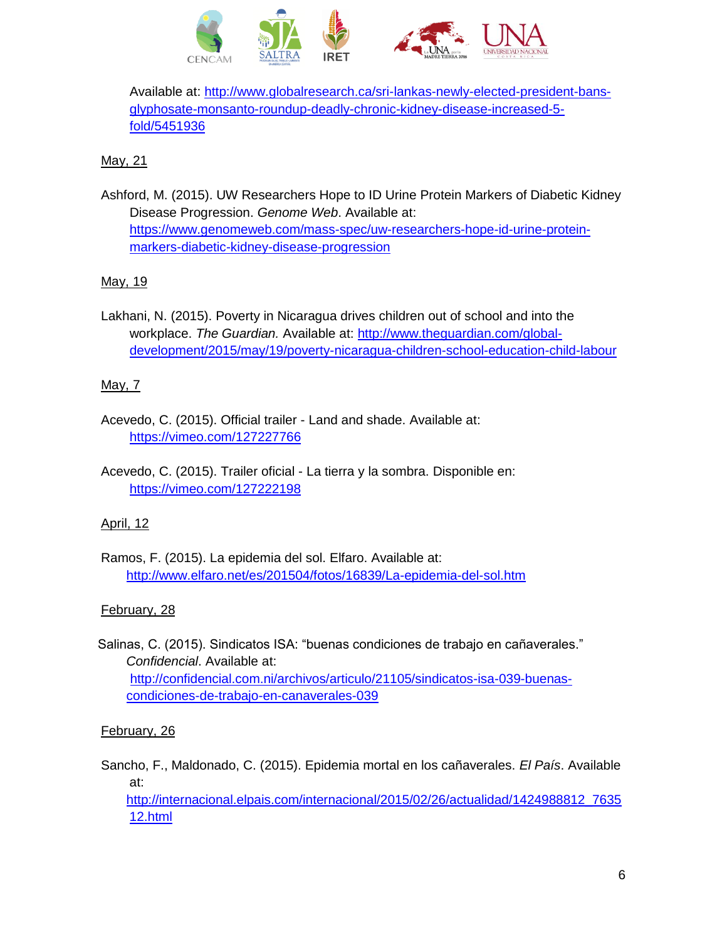

Available at: [http://www.globalresearch.ca/sri-lankas-newly-elected-president-bans](http://www.globalresearch.ca/sri-lankas-newly-elected-president-bans-glyphosate-monsanto-roundup-deadly-chronic-kidney-disease-increased-5-fold/5451936)[glyphosate-monsanto-roundup-deadly-chronic-kidney-disease-increased-5](http://www.globalresearch.ca/sri-lankas-newly-elected-president-bans-glyphosate-monsanto-roundup-deadly-chronic-kidney-disease-increased-5-fold/5451936) [fold/5451936](http://www.globalresearch.ca/sri-lankas-newly-elected-president-bans-glyphosate-monsanto-roundup-deadly-chronic-kidney-disease-increased-5-fold/5451936)

# May, 21

Ashford, M. (2015). UW Researchers Hope to ID Urine Protein Markers of Diabetic Kidney Disease Progression. *Genome Web*. Available at: [https://www.genomeweb.com/mass-spec/uw-researchers-hope-id-urine-protein](https://www.genomeweb.com/mass-spec/uw-researchers-hope-id-urine-protein-markers-diabetic-kidney-disease-progression)[markers-diabetic-kidney-disease-progression](https://www.genomeweb.com/mass-spec/uw-researchers-hope-id-urine-protein-markers-diabetic-kidney-disease-progression)

# May, 19

Lakhani, N. (2015). Poverty in Nicaragua drives children out of school and into the workplace. *The Guardian.* Available at: [http://www.theguardian.com/global](http://www.theguardian.com/global-development/2015/may/19/poverty-nicaragua-children-school-education-child-labour)[development/2015/may/19/poverty-nicaragua-children-school-education-child-labour](http://www.theguardian.com/global-development/2015/may/19/poverty-nicaragua-children-school-education-child-labour)

### May, 7

- Acevedo, C. (2015). Official trailer Land and shade. Available at: <https://vimeo.com/127227766>
- Acevedo, C. (2015). Trailer oficial La tierra y la sombra. Disponible en: <https://vimeo.com/127222198>

#### April, 12

Ramos, F. (2015). La epidemia del sol. Elfaro. Available at: <http://www.elfaro.net/es/201504/fotos/16839/La-epidemia-del-sol.htm>

# February, 28

Salinas, C. (2015). Sindicatos ISA: "buenas condiciones de trabajo en cañaverales." *Confidencial*. Available at: [http://confidencial.com.ni/archivos/articulo/21105/sindicatos-isa-039-buenas](http://confidencial.com.ni/archivos/articulo/21105/sindicatos-isa-039-buenas-condiciones-de-trabajo-en-canaverales-039)[condiciones-de-trabajo-en-canaverales-039](http://confidencial.com.ni/archivos/articulo/21105/sindicatos-isa-039-buenas-condiciones-de-trabajo-en-canaverales-039)

# February, 26

Sancho, F., Maldonado, C. (2015). Epidemia mortal en los cañaverales. *El País*. Available at:

[http://internacional.elpais.com/internacional/2015/02/26/actualidad/1424988812\\_7635](http://internacional.elpais.com/internacional/2015/02/26/actualidad/1424988812_763512.html) [12.html](http://internacional.elpais.com/internacional/2015/02/26/actualidad/1424988812_763512.html)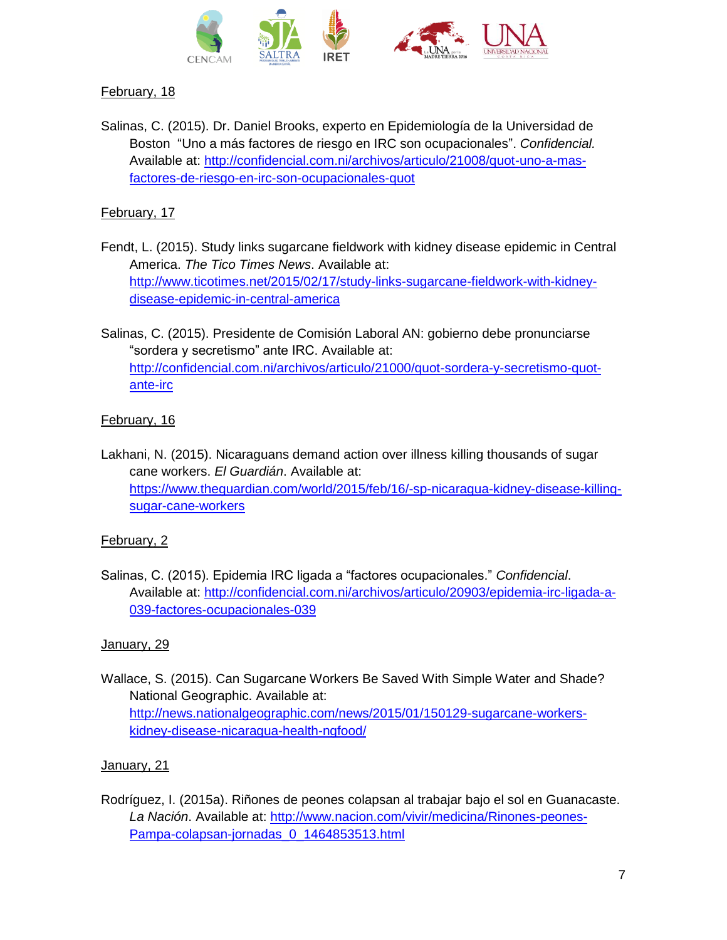

# February, 18

Salinas, C. (2015). Dr. Daniel Brooks, experto en Epidemiología de la Universidad de Boston "Uno a más factores de riesgo en IRC son ocupacionales". *Confidencial.* Available at: [http://confidencial.com.ni/archivos/articulo/21008/quot-uno-a-mas](http://confidencial.com.ni/archivos/articulo/21008/quot-uno-a-mas-factores-de-riesgo-en-irc-son-ocupacionales-quot)[factores-de-riesgo-en-irc-son-ocupacionales-quot](http://confidencial.com.ni/archivos/articulo/21008/quot-uno-a-mas-factores-de-riesgo-en-irc-son-ocupacionales-quot)

# February, 17

Fendt, L. (2015). Study links sugarcane fieldwork with kidney disease epidemic in Central America. *The Tico Times News*. Available at: [http://www.ticotimes.net/2015/02/17/study-links-sugarcane-fieldwork-with-kidney](http://www.ticotimes.net/2015/02/17/study-links-sugarcane-fieldwork-with-kidney-disease-epidemic-in-central-america)[disease-epidemic-in-central-america](http://www.ticotimes.net/2015/02/17/study-links-sugarcane-fieldwork-with-kidney-disease-epidemic-in-central-america)

Salinas, C. (2015). Presidente de Comisión Laboral AN: gobierno debe pronunciarse "sordera y secretismo" ante IRC. Available at: [http://confidencial.com.ni/archivos/articulo/21000/quot-sordera-y-secretismo-quot](http://confidencial.com.ni/archivos/articulo/21000/quot-sordera-y-secretismo-quot-ante-irc)[ante-irc](http://confidencial.com.ni/archivos/articulo/21000/quot-sordera-y-secretismo-quot-ante-irc)

# February, 16

Lakhani, N. (2015). Nicaraguans demand action over illness killing thousands of sugar cane workers. *El Guardián*. Available at: [https://www.theguardian.com/world/2015/feb/16/-sp-nicaragua-kidney-disease-killing](https://www.theguardian.com/world/2015/feb/16/-sp-nicaragua-kidney-disease-killing-sugar-cane-workers)[sugar-cane-workers](https://www.theguardian.com/world/2015/feb/16/-sp-nicaragua-kidney-disease-killing-sugar-cane-workers)

# February, 2

Salinas, C. (2015). Epidemia IRC ligada a "factores ocupacionales." *Confidencial*. Available at: [http://confidencial.com.ni/archivos/articulo/20903/epidemia-irc-ligada-a-](http://confidencial.com.ni/archivos/articulo/20903/epidemia-irc-ligada-a-039-factores-ocupacionales-039)[039-factores-ocupacionales-039](http://confidencial.com.ni/archivos/articulo/20903/epidemia-irc-ligada-a-039-factores-ocupacionales-039)

# January, 29

Wallace, S. (2015). Can Sugarcane Workers Be Saved With Simple Water and Shade? National Geographic. Available at: [http://news.nationalgeographic.com/news/2015/01/150129-sugarcane-workers](http://news.nationalgeographic.com/news/2015/01/150129-sugarcane-workers-kidney-disease-nicaragua-health-ngfood/)[kidney-disease-nicaragua-health-ngfood/](http://news.nationalgeographic.com/news/2015/01/150129-sugarcane-workers-kidney-disease-nicaragua-health-ngfood/)

# January, 21

Rodríguez, I. (2015a). Riñones de peones colapsan al trabajar bajo el sol en Guanacaste. *La Nación*. Available at: [http://www.nacion.com/vivir/medicina/Rinones-peones-](http://www.nacion.com/vivir/medicina/Rinones-peones-Pampa-colapsan-jornadas_0_1464853513.html)[Pampa-colapsan-jornadas\\_0\\_1464853513.html](http://www.nacion.com/vivir/medicina/Rinones-peones-Pampa-colapsan-jornadas_0_1464853513.html)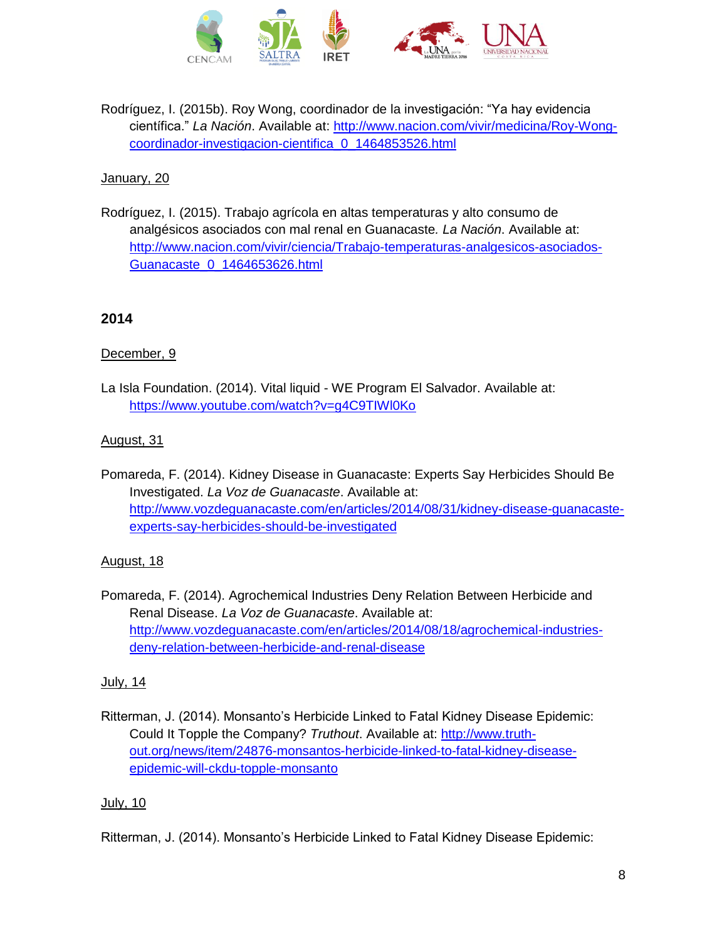

Rodríguez, I. (2015b). Roy Wong, coordinador de la investigación: "Ya hay evidencia científica." *La Nación*. Available at: [http://www.nacion.com/vivir/medicina/Roy-Wong](http://www.nacion.com/vivir/medicina/Roy-Wong-coordinador-investigacion-cientifica_0_1464853526.html)[coordinador-investigacion-cientifica\\_0\\_1464853526.html](http://www.nacion.com/vivir/medicina/Roy-Wong-coordinador-investigacion-cientifica_0_1464853526.html)

# January, 20

Rodríguez, I. (2015). Trabajo agrícola en altas temperaturas y alto consumo de analgésicos asociados con mal renal en Guanacaste*. La Nación*. Available at: [http://www.nacion.com/vivir/ciencia/Trabajo-temperaturas-analgesicos-asociados-](http://www.nacion.com/vivir/ciencia/Trabajo-temperaturas-analgesicos-asociados-Guanacaste_0_1464653626.html)[Guanacaste\\_0\\_1464653626.html](http://www.nacion.com/vivir/ciencia/Trabajo-temperaturas-analgesicos-asociados-Guanacaste_0_1464653626.html)

# **2014**

# December, 9

La Isla Foundation. (2014). Vital liquid - WE Program El Salvador. Available at: <https://www.youtube.com/watch?v=g4C9TIWl0Ko>

# August, 31

Pomareda, F. (2014). Kidney Disease in Guanacaste: Experts Say Herbicides Should Be Investigated. *La Voz de Guanacaste*. Available at: [http://www.vozdeguanacaste.com/en/articles/2014/08/31/kidney-disease-guanacaste](http://www.vozdeguanacaste.com/en/articles/2014/08/31/kidney-disease-guanacaste-experts-say-herbicides-should-be-investigated)[experts-say-herbicides-should-be-investigated](http://www.vozdeguanacaste.com/en/articles/2014/08/31/kidney-disease-guanacaste-experts-say-herbicides-should-be-investigated)

# August, 18

Pomareda, F. (2014). Agrochemical Industries Deny Relation Between Herbicide and Renal Disease. *La Voz de Guanacaste*. Available at: [http://www.vozdeguanacaste.com/en/articles/2014/08/18/agrochemical-industries](http://www.vozdeguanacaste.com/en/articles/2014/08/18/agrochemical-industries-deny-relation-between-herbicide-and-renal-disease)[deny-relation-between-herbicide-and-renal-disease](http://www.vozdeguanacaste.com/en/articles/2014/08/18/agrochemical-industries-deny-relation-between-herbicide-and-renal-disease)

# July, 14

Ritterman, J. (2014). Monsanto's Herbicide Linked to Fatal Kidney Disease Epidemic: Could It Topple the Company? *Truthout*. Available at: [http://www.truth](http://www.truth-out.org/news/item/24876-monsantos-herbicide-linked-to-fatal-kidney-disease-epidemic-will-ckdu-topple-monsanto)[out.org/news/item/24876-monsantos-herbicide-linked-to-fatal-kidney-disease](http://www.truth-out.org/news/item/24876-monsantos-herbicide-linked-to-fatal-kidney-disease-epidemic-will-ckdu-topple-monsanto)[epidemic-will-ckdu-topple-monsanto](http://www.truth-out.org/news/item/24876-monsantos-herbicide-linked-to-fatal-kidney-disease-epidemic-will-ckdu-topple-monsanto)

# July, 10

Ritterman, J. (2014). Monsanto's Herbicide Linked to Fatal Kidney Disease Epidemic: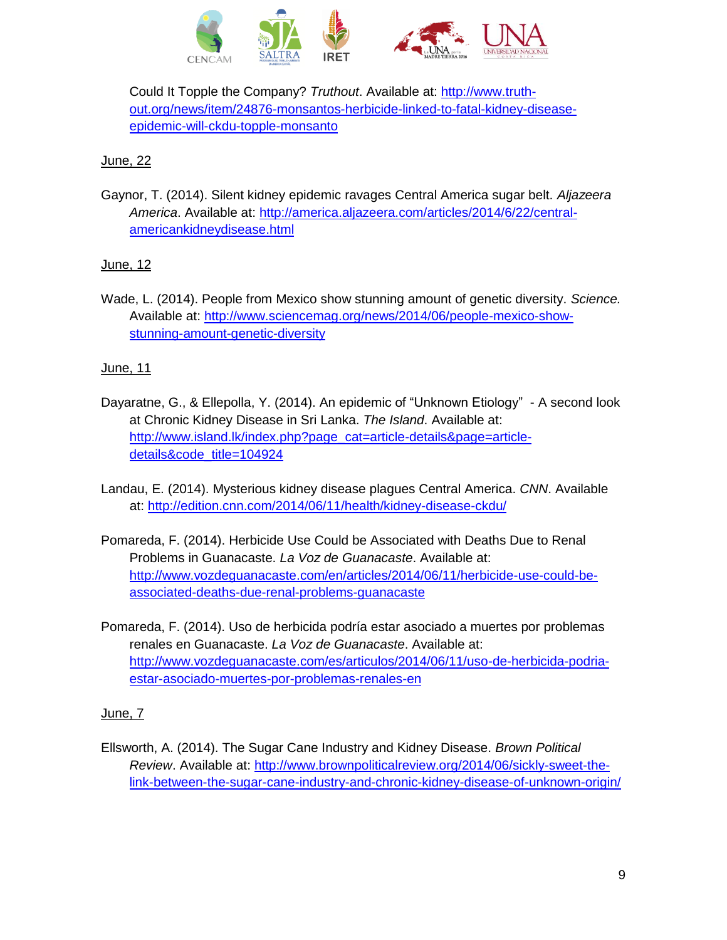

Could It Topple the Company? *Truthout*. Available at: [http://www.truth](http://www.truth-out.org/news/item/24876-monsantos-herbicide-linked-to-fatal-kidney-disease-epidemic-will-ckdu-topple-monsanto)[out.org/news/item/24876-monsantos-herbicide-linked-to-fatal-kidney-disease](http://www.truth-out.org/news/item/24876-monsantos-herbicide-linked-to-fatal-kidney-disease-epidemic-will-ckdu-topple-monsanto)[epidemic-will-ckdu-topple-monsanto](http://www.truth-out.org/news/item/24876-monsantos-herbicide-linked-to-fatal-kidney-disease-epidemic-will-ckdu-topple-monsanto)

# **June**, 22

Gaynor, T. (2014). Silent kidney epidemic ravages Central America sugar belt. *Aljazeera America*. Available at: [http://america.aljazeera.com/articles/2014/6/22/central](http://america.aljazeera.com/articles/2014/6/22/central-americankidneydisease.html)[americankidneydisease.html](http://america.aljazeera.com/articles/2014/6/22/central-americankidneydisease.html)

# June, 12

Wade, L. (2014). People from Mexico show stunning amount of genetic diversity. *Science.* Available at: [http://www.sciencemag.org/news/2014/06/people-mexico-show](http://www.sciencemag.org/news/2014/06/people-mexico-show-stunning-amount-genetic-diversity)[stunning-amount-genetic-diversity](http://www.sciencemag.org/news/2014/06/people-mexico-show-stunning-amount-genetic-diversity)

# June, 11

- Dayaratne, G., & Ellepolla, Y. (2014). An epidemic of "Unknown Etiology" A second look at Chronic Kidney Disease in Sri Lanka. *The Island*. Available at: [http://www.island.lk/index.php?page\\_cat=article-details&page=article](http://www.island.lk/index.php?page_cat=article-details&page=article-details&code_title=104924)[details&code\\_title=104924](http://www.island.lk/index.php?page_cat=article-details&page=article-details&code_title=104924)
- Landau, E. (2014). Mysterious kidney disease plagues Central America. *CNN*. Available at:<http://edition.cnn.com/2014/06/11/health/kidney-disease-ckdu/>
- Pomareda, F. (2014). Herbicide Use Could be Associated with Deaths Due to Renal Problems in Guanacaste. *La Voz de Guanacaste*. Available at: [http://www.vozdeguanacaste.com/en/articles/2014/06/11/herbicide-use-could-be](http://www.vozdeguanacaste.com/en/articles/2014/06/11/herbicide-use-could-be-associated-deaths-due-renal-problems-guanacaste)[associated-deaths-due-renal-problems-guanacaste](http://www.vozdeguanacaste.com/en/articles/2014/06/11/herbicide-use-could-be-associated-deaths-due-renal-problems-guanacaste)
- Pomareda, F. (2014). Uso de herbicida podría estar asociado a muertes por problemas renales en Guanacaste. *La Voz de Guanacaste*. Available at: [http://www.vozdeguanacaste.com/es/articulos/2014/06/11/uso-de-herbicida-podria](http://www.vozdeguanacaste.com/es/articulos/2014/06/11/uso-de-herbicida-podria-estar-asociado-muertes-por-problemas-renales-en)[estar-asociado-muertes-por-problemas-renales-en](http://www.vozdeguanacaste.com/es/articulos/2014/06/11/uso-de-herbicida-podria-estar-asociado-muertes-por-problemas-renales-en)

# June, 7

Ellsworth, A. (2014). The Sugar Cane Industry and Kidney Disease. *Brown Political Review*. Available at: [http://www.brownpoliticalreview.org/2014/06/sickly-sweet-the](http://www.brownpoliticalreview.org/2014/06/sickly-sweet-the-link-between-the-sugar-cane-industry-and-chronic-kidney-disease-of-unknown-origin/)[link-between-the-sugar-cane-industry-and-chronic-kidney-disease-of-unknown-origin/](http://www.brownpoliticalreview.org/2014/06/sickly-sweet-the-link-between-the-sugar-cane-industry-and-chronic-kidney-disease-of-unknown-origin/)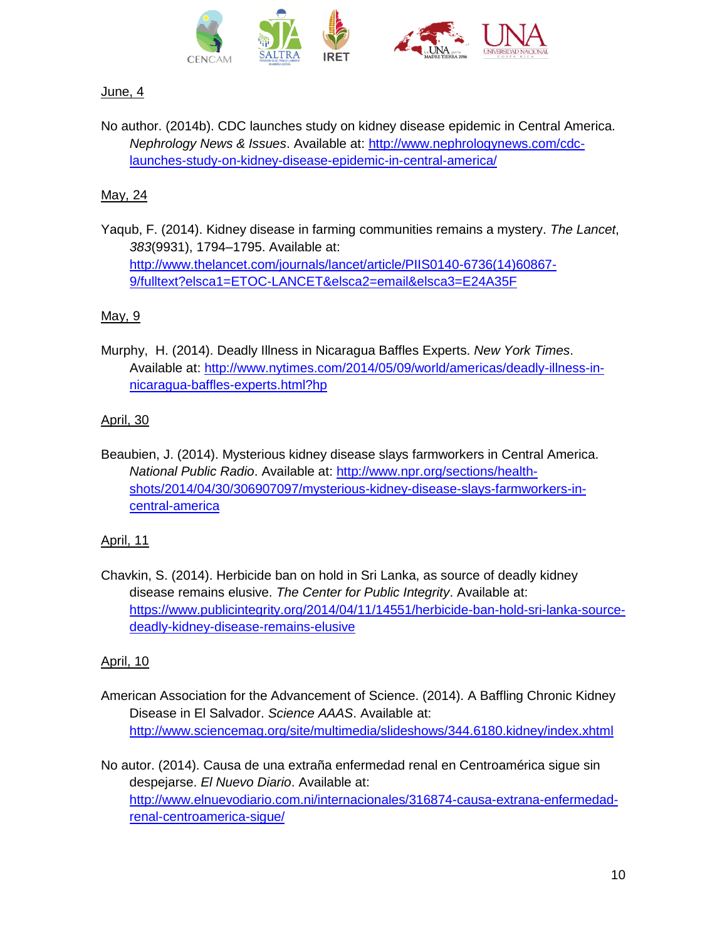

# June, 4

No author. (2014b). CDC launches study on kidney disease epidemic in Central America. *Nephrology News & Issues*. Available at: [http://www.nephrologynews.com/cdc](http://www.nephrologynews.com/cdc-launches-study-on-kidney-disease-epidemic-in-central-america/)[launches-study-on-kidney-disease-epidemic-in-central-america/](http://www.nephrologynews.com/cdc-launches-study-on-kidney-disease-epidemic-in-central-america/)

# May, 24

Yaqub, F. (2014). Kidney disease in farming communities remains a mystery. *The Lancet*, *383*(9931), 1794–1795. Available at: [http://www.thelancet.com/journals/lancet/article/PIIS0140-6736\(14\)60867-](http://www.thelancet.com/journals/lancet/article/PIIS0140-6736(14)60867-9/fulltext?elsca1=ETOC-LANCET&elsca2=email&elsca3=E24A35F) [9/fulltext?elsca1=ETOC-LANCET&elsca2=email&elsca3=E24A35F](http://www.thelancet.com/journals/lancet/article/PIIS0140-6736(14)60867-9/fulltext?elsca1=ETOC-LANCET&elsca2=email&elsca3=E24A35F)

# May, 9

Murphy, H. (2014). Deadly Illness in Nicaragua Baffles Experts. *New York Times*. Available at: [http://www.nytimes.com/2014/05/09/world/americas/deadly-illness-in](http://www.nytimes.com/2014/05/09/world/americas/deadly-illness-in-nicaragua-baffles-experts.html?hp)[nicaragua-baffles-experts.html?hp](http://www.nytimes.com/2014/05/09/world/americas/deadly-illness-in-nicaragua-baffles-experts.html?hp)

# April, 30

Beaubien, J. (2014). Mysterious kidney disease slays farmworkers in Central America. *National Public Radio*. Available at: [http://www.npr.org/sections/health](http://www.npr.org/sections/health-shots/2014/04/30/306907097/mysterious-kidney-disease-slays-farmworkers-in-central-america)[shots/2014/04/30/306907097/mysterious-kidney-disease-slays-farmworkers-in](http://www.npr.org/sections/health-shots/2014/04/30/306907097/mysterious-kidney-disease-slays-farmworkers-in-central-america)[central-america](http://www.npr.org/sections/health-shots/2014/04/30/306907097/mysterious-kidney-disease-slays-farmworkers-in-central-america)

# April, 11

Chavkin, S. (2014). Herbicide ban on hold in Sri Lanka, as source of deadly kidney disease remains elusive. *The Center for Public Integrity*. Available at: [https://www.publicintegrity.org/2014/04/11/14551/herbicide-ban-hold-sri-lanka-source](https://www.publicintegrity.org/2014/04/11/14551/herbicide-ban-hold-sri-lanka-source-deadly-kidney-disease-remains-elusive)[deadly-kidney-disease-remains-elusive](https://www.publicintegrity.org/2014/04/11/14551/herbicide-ban-hold-sri-lanka-source-deadly-kidney-disease-remains-elusive)

# April, 10

- American Association for the Advancement of Science. (2014). A Baffling Chronic Kidney Disease in El Salvador. *Science AAAS*. Available at: <http://www.sciencemag.org/site/multimedia/slideshows/344.6180.kidney/index.xhtml>
- No autor. (2014). Causa de una extraña enfermedad renal en Centroamérica sigue sin despejarse. *El Nuevo Diario*. Available at: [http://www.elnuevodiario.com.ni/internacionales/316874-causa-extrana-enfermedad](http://www.elnuevodiario.com.ni/internacionales/316874-causa-extrana-enfermedad-renal-centroamerica-sigue/)[renal-centroamerica-sigue/](http://www.elnuevodiario.com.ni/internacionales/316874-causa-extrana-enfermedad-renal-centroamerica-sigue/)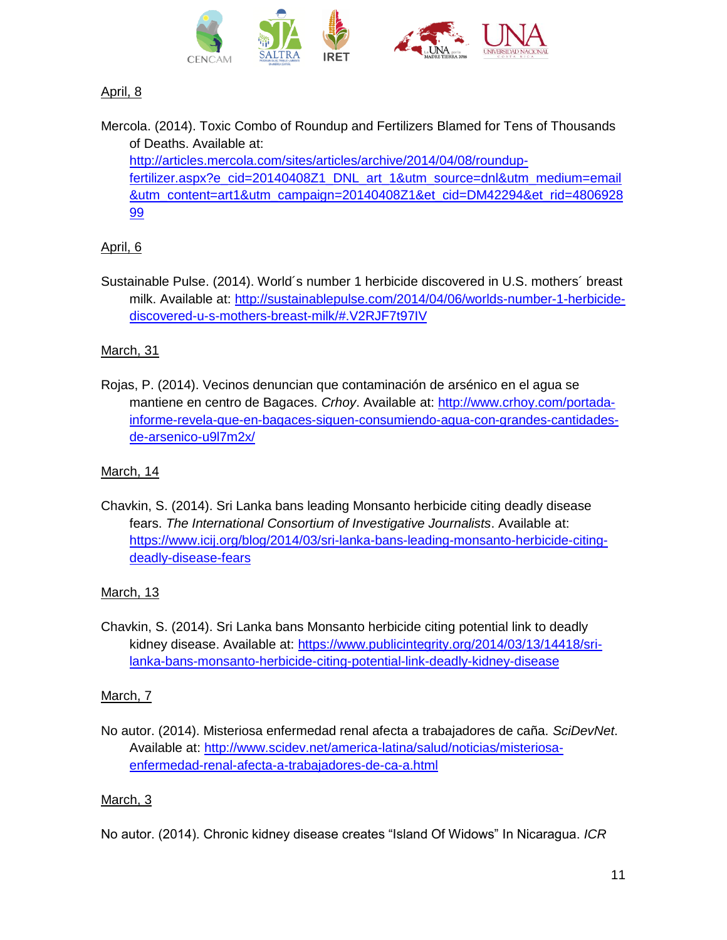

# April, 8

Mercola. (2014). Toxic Combo of Roundup and Fertilizers Blamed for Tens of Thousands of Deaths. Available at: [http://articles.mercola.com/sites/articles/archive/2014/04/08/roundup](http://articles.mercola.com/sites/articles/archive/2014/04/08/roundup-fertilizer.aspx?e_cid=20140408Z1_DNL_art_1&utm_source=dnl&utm_medium=email&utm_content=art1&utm_campaign=20140408Z1&et_cid=DM42294&et_rid=480692899)[fertilizer.aspx?e\\_cid=20140408Z1\\_DNL\\_art\\_1&utm\\_source=dnl&utm\\_medium=email](http://articles.mercola.com/sites/articles/archive/2014/04/08/roundup-fertilizer.aspx?e_cid=20140408Z1_DNL_art_1&utm_source=dnl&utm_medium=email&utm_content=art1&utm_campaign=20140408Z1&et_cid=DM42294&et_rid=480692899) [&utm\\_content=art1&utm\\_campaign=20140408Z1&et\\_cid=DM42294&et\\_rid=4806928](http://articles.mercola.com/sites/articles/archive/2014/04/08/roundup-fertilizer.aspx?e_cid=20140408Z1_DNL_art_1&utm_source=dnl&utm_medium=email&utm_content=art1&utm_campaign=20140408Z1&et_cid=DM42294&et_rid=480692899) [99](http://articles.mercola.com/sites/articles/archive/2014/04/08/roundup-fertilizer.aspx?e_cid=20140408Z1_DNL_art_1&utm_source=dnl&utm_medium=email&utm_content=art1&utm_campaign=20140408Z1&et_cid=DM42294&et_rid=480692899)

# April, 6

Sustainable Pulse. (2014). World´s number 1 herbicide discovered in U.S. mothers´ breast milk. Available at: [http://sustainablepulse.com/2014/04/06/worlds-number-1-herbicide](http://sustainablepulse.com/2014/04/06/worlds-number-1-herbicide-discovered-u-s-mothers-breast-milk/#.V2RJF7t97IV)[discovered-u-s-mothers-breast-milk/#.V2RJF7t97IV](http://sustainablepulse.com/2014/04/06/worlds-number-1-herbicide-discovered-u-s-mothers-breast-milk/#.V2RJF7t97IV)

# March, 31

Rojas, P. (2014). Vecinos denuncian que contaminación de arsénico en el agua se mantiene en centro de Bagaces. *Crhoy*. Available at: [http://www.crhoy.com/portada](http://www.crhoy.com/portada-informe-revela-que-en-bagaces-siguen-consumiendo-agua-con-grandes-cantidades-de-arsenico-u9l7m2x/)[informe-revela-que-en-bagaces-siguen-consumiendo-agua-con-grandes-cantidades](http://www.crhoy.com/portada-informe-revela-que-en-bagaces-siguen-consumiendo-agua-con-grandes-cantidades-de-arsenico-u9l7m2x/)[de-arsenico-u9l7m2x/](http://www.crhoy.com/portada-informe-revela-que-en-bagaces-siguen-consumiendo-agua-con-grandes-cantidades-de-arsenico-u9l7m2x/)

#### March, 14

Chavkin, S. (2014). Sri Lanka bans leading Monsanto herbicide citing deadly disease fears. *The International Consortium of Investigative Journalists*. Available at: [https://www.icij.org/blog/2014/03/sri-lanka-bans-leading-monsanto-herbicide-citing](https://www.icij.org/blog/2014/03/sri-lanka-bans-leading-monsanto-herbicide-citing-deadly-disease-fears)[deadly-disease-fears](https://www.icij.org/blog/2014/03/sri-lanka-bans-leading-monsanto-herbicide-citing-deadly-disease-fears)

# March, 13

Chavkin, S. (2014). Sri Lanka bans Monsanto herbicide citing potential link to deadly kidney disease. Available at: [https://www.publicintegrity.org/2014/03/13/14418/sri](https://www.publicintegrity.org/2014/03/13/14418/sri-lanka-bans-monsanto-herbicide-citing-potential-link-deadly-kidney-disease)[lanka-bans-monsanto-herbicide-citing-potential-link-deadly-kidney-disease](https://www.publicintegrity.org/2014/03/13/14418/sri-lanka-bans-monsanto-herbicide-citing-potential-link-deadly-kidney-disease)

#### March, 7

No autor. (2014). Misteriosa enfermedad renal afecta a trabajadores de caña. *SciDevNet*. Available at: [http://www.scidev.net/america-latina/salud/noticias/misteriosa](http://www.scidev.net/america-latina/salud/noticias/misteriosa-enfermedad-renal-afecta-a-trabajadores-de-ca-a.html)[enfermedad-renal-afecta-a-trabajadores-de-ca-a.html](http://www.scidev.net/america-latina/salud/noticias/misteriosa-enfermedad-renal-afecta-a-trabajadores-de-ca-a.html)

# March, 3

No autor. (2014). Chronic kidney disease creates "Island Of Widows" In Nicaragua. *ICR*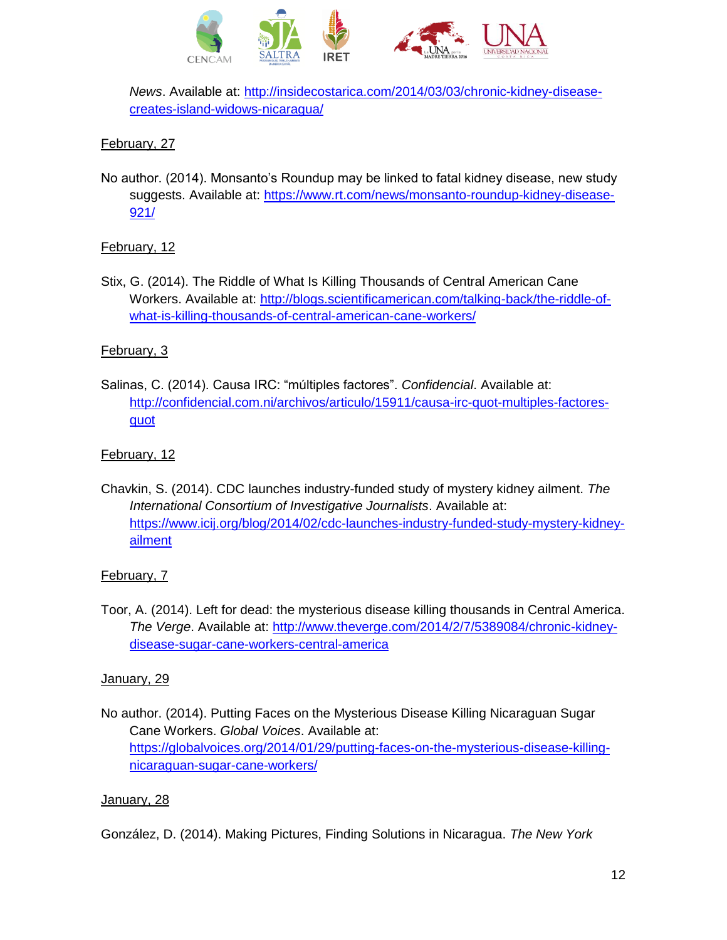

*News*. Available at: [http://insidecostarica.com/2014/03/03/chronic-kidney-disease](http://insidecostarica.com/2014/03/03/chronic-kidney-disease-creates-island-widows-nicaragua/)[creates-island-widows-nicaragua/](http://insidecostarica.com/2014/03/03/chronic-kidney-disease-creates-island-widows-nicaragua/)

# February, 27

No author. (2014). Monsanto's Roundup may be linked to fatal kidney disease, new study suggests. Available at: [https://www.rt.com/news/monsanto-roundup-kidney-disease-](https://www.rt.com/news/monsanto-roundup-kidney-disease-921/)[921/](https://www.rt.com/news/monsanto-roundup-kidney-disease-921/)

# February, 12

Stix, G. (2014). The Riddle of What Is Killing Thousands of Central American Cane Workers. Available at: [http://blogs.scientificamerican.com/talking-back/the-riddle-of](http://blogs.scientificamerican.com/talking-back/the-riddle-of-what-is-killing-thousands-of-central-american-cane-workers/)[what-is-killing-thousands-of-central-american-cane-workers/](http://blogs.scientificamerican.com/talking-back/the-riddle-of-what-is-killing-thousands-of-central-american-cane-workers/)

# February, 3

Salinas, C. (2014). Causa IRC: "múltiples factores". *Confidencial*. Available at: [http://confidencial.com.ni/archivos/articulo/15911/causa-irc-quot-multiples-factores](http://confidencial.com.ni/archivos/articulo/15911/causa-irc-quot-multiples-factores-quot)[quot](http://confidencial.com.ni/archivos/articulo/15911/causa-irc-quot-multiples-factores-quot)

# February, 12

Chavkin, S. (2014). CDC launches industry-funded study of mystery kidney ailment. *The International Consortium of Investigative Journalists*. Available at: [https://www.icij.org/blog/2014/02/cdc-launches-industry-funded-study-mystery-kidney](https://www.icij.org/blog/2014/02/cdc-launches-industry-funded-study-mystery-kidney-ailment)[ailment](https://www.icij.org/blog/2014/02/cdc-launches-industry-funded-study-mystery-kidney-ailment)

# February, 7

Toor, A. (2014). Left for dead: the mysterious disease killing thousands in Central America. *The Verge*. Available at: [http://www.theverge.com/2014/2/7/5389084/chronic-kidney](http://www.theverge.com/2014/2/7/5389084/chronic-kidney-disease-sugar-cane-workers-central-america)[disease-sugar-cane-workers-central-america](http://www.theverge.com/2014/2/7/5389084/chronic-kidney-disease-sugar-cane-workers-central-america)

# January, 29

No author. (2014). Putting Faces on the Mysterious Disease Killing Nicaraguan Sugar Cane Workers. *Global Voices*. Available at: [https://globalvoices.org/2014/01/29/putting-faces-on-the-mysterious-disease-killing](https://globalvoices.org/2014/01/29/putting-faces-on-the-mysterious-disease-killing-nicaraguan-sugar-cane-workers/)[nicaraguan-sugar-cane-workers/](https://globalvoices.org/2014/01/29/putting-faces-on-the-mysterious-disease-killing-nicaraguan-sugar-cane-workers/)

# January, 28

González, D. (2014). Making Pictures, Finding Solutions in Nicaragua. *The New York*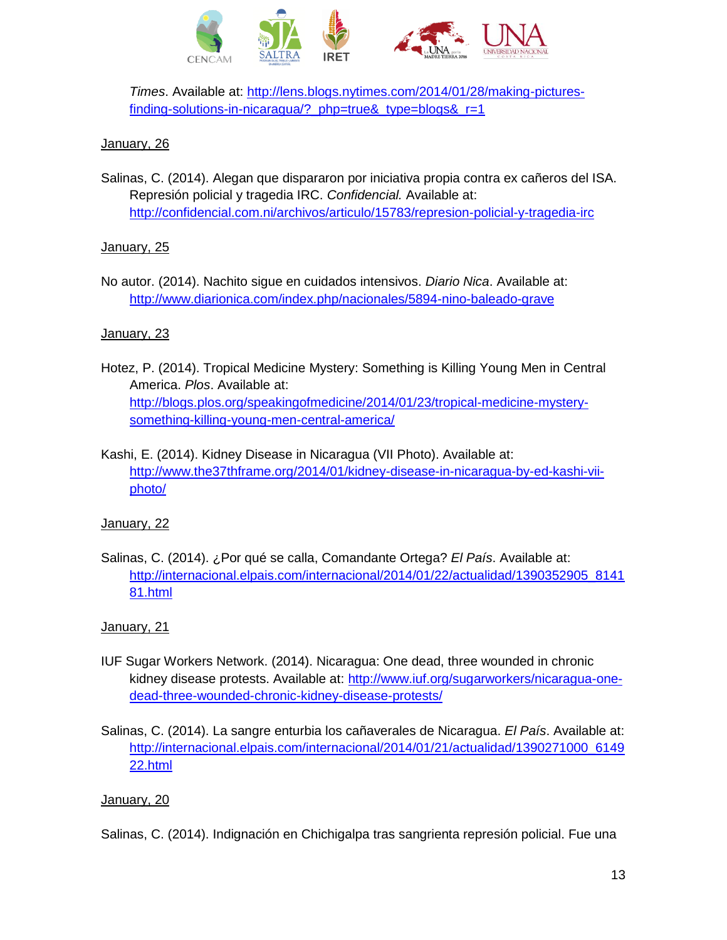

*Times*. Available at: [http://lens.blogs.nytimes.com/2014/01/28/making-pictures](http://lens.blogs.nytimes.com/2014/01/28/making-pictures-finding-solutions-in-nicaragua/?_php=true&_type=blogs&_r=1)finding-solutions-in-nicaragua/? php=true& type=blogs& r=1

### January, 26

Salinas, C. (2014). Alegan que dispararon por iniciativa propia contra ex cañeros del ISA. Represión policial y tragedia IRC. *Confidencial.* Available at: <http://confidencial.com.ni/archivos/articulo/15783/represion-policial-y-tragedia-irc>

### January, 25

No autor. (2014). Nachito sigue en cuidados intensivos. *Diario Nica*. Available at: <http://www.diarionica.com/index.php/nacionales/5894-nino-baleado-grave>

### January, 23

- Hotez, P. (2014). Tropical Medicine Mystery: Something is Killing Young Men in Central America. *Plos*. Available at: [http://blogs.plos.org/speakingofmedicine/2014/01/23/tropical-medicine-mystery](http://blogs.plos.org/speakingofmedicine/2014/01/23/tropical-medicine-mystery-something-killing-young-men-central-america/)[something-killing-young-men-central-america/](http://blogs.plos.org/speakingofmedicine/2014/01/23/tropical-medicine-mystery-something-killing-young-men-central-america/)
- Kashi, E. (2014). Kidney Disease in Nicaragua (VII Photo). Available at: [http://www.the37thframe.org/2014/01/kidney-disease-in-nicaragua-by-ed-kashi-vii](http://www.the37thframe.org/2014/01/kidney-disease-in-nicaragua-by-ed-kashi-vii-photo/)[photo/](http://www.the37thframe.org/2014/01/kidney-disease-in-nicaragua-by-ed-kashi-vii-photo/)

#### January, 22

Salinas, C. (2014). ¿Por qué se calla, Comandante Ortega? *El País*. Available at: [http://internacional.elpais.com/internacional/2014/01/22/actualidad/1390352905\\_8141](http://internacional.elpais.com/internacional/2014/01/22/actualidad/1390352905_814181.html) [81.html](http://internacional.elpais.com/internacional/2014/01/22/actualidad/1390352905_814181.html)

#### January, 21

- IUF Sugar Workers Network. (2014). Nicaragua: One dead, three wounded in chronic kidney disease protests. Available at: [http://www.iuf.org/sugarworkers/nicaragua-one](http://www.iuf.org/sugarworkers/nicaragua-one-dead-three-wounded-chronic-kidney-disease-protests/)[dead-three-wounded-chronic-kidney-disease-protests/](http://www.iuf.org/sugarworkers/nicaragua-one-dead-three-wounded-chronic-kidney-disease-protests/)
- Salinas, C. (2014). La sangre enturbia los cañaverales de Nicaragua. *El País*. Available at: [http://internacional.elpais.com/internacional/2014/01/21/actualidad/1390271000\\_6149](http://internacional.elpais.com/internacional/2014/01/21/actualidad/1390271000_614922.html) [22.html](http://internacional.elpais.com/internacional/2014/01/21/actualidad/1390271000_614922.html)

#### January, 20

Salinas, C. (2014). Indignación en Chichigalpa tras sangrienta represión policial. Fue una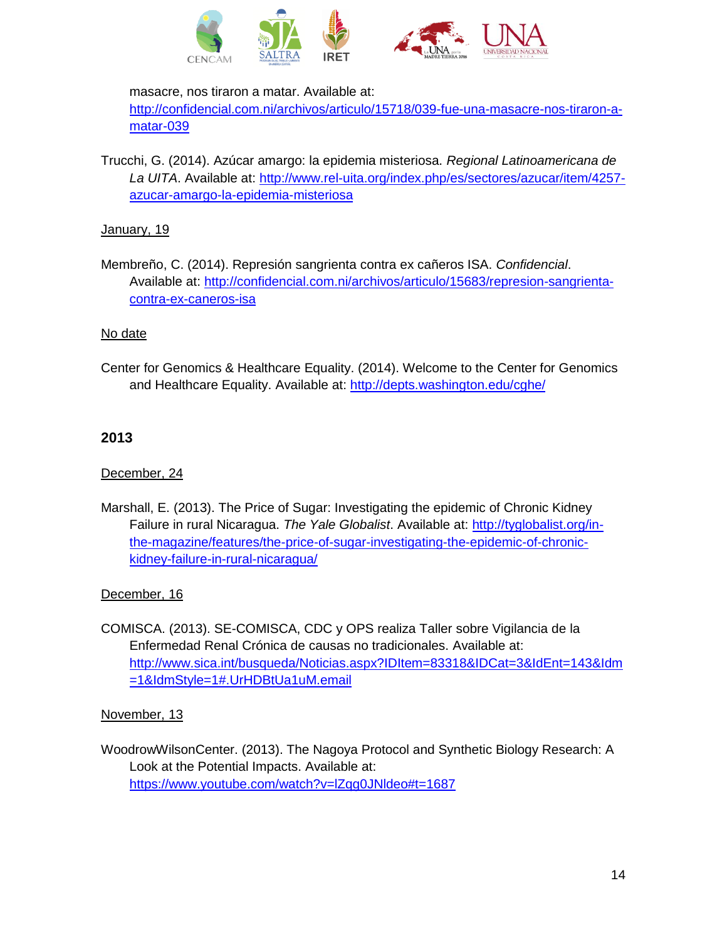

masacre, nos tiraron a matar. Available at:

[http://confidencial.com.ni/archivos/articulo/15718/039-fue-una-masacre-nos-tiraron-a](http://confidencial.com.ni/archivos/articulo/15718/039-fue-una-masacre-nos-tiraron-a-matar-039)[matar-039](http://confidencial.com.ni/archivos/articulo/15718/039-fue-una-masacre-nos-tiraron-a-matar-039)

Trucchi, G. (2014). Azúcar amargo: la epidemia misteriosa. *Regional Latinoamericana de La UITA*. Available at: [http://www.rel-uita.org/index.php/es/sectores/azucar/item/4257](http://www.rel-uita.org/index.php/es/sectores/azucar/item/4257-azucar-amargo-la-epidemia-misteriosa) [azucar-amargo-la-epidemia-misteriosa](http://www.rel-uita.org/index.php/es/sectores/azucar/item/4257-azucar-amargo-la-epidemia-misteriosa)

# January, 19

Membreño, C. (2014). Represión sangrienta contra ex cañeros ISA. *Confidencial*. Available at: [http://confidencial.com.ni/archivos/articulo/15683/represion-sangrienta](http://confidencial.com.ni/archivos/articulo/15683/represion-sangrienta-contra-ex-caneros-isa)[contra-ex-caneros-isa](http://confidencial.com.ni/archivos/articulo/15683/represion-sangrienta-contra-ex-caneros-isa)

# No date

Center for Genomics & Healthcare Equality. (2014). Welcome to the Center for Genomics and Healthcare Equality. Available at: <http://depts.washington.edu/cghe/>

# **2013**

# December, 24

Marshall, E. (2013). The Price of Sugar: Investigating the epidemic of Chronic Kidney Failure in rural Nicaragua. *The Yale Globalist*. Available at: [http://tyglobalist.org/in](http://tyglobalist.org/in-the-magazine/features/the-price-of-sugar-investigating-the-epidemic-of-chronic-kidney-failure-in-rural-nicaragua/)[the-magazine/features/the-price-of-sugar-investigating-the-epidemic-of-chronic](http://tyglobalist.org/in-the-magazine/features/the-price-of-sugar-investigating-the-epidemic-of-chronic-kidney-failure-in-rural-nicaragua/)[kidney-failure-in-rural-nicaragua/](http://tyglobalist.org/in-the-magazine/features/the-price-of-sugar-investigating-the-epidemic-of-chronic-kidney-failure-in-rural-nicaragua/)

# December, 16

COMISCA. (2013). SE-COMISCA, CDC y OPS realiza Taller sobre Vigilancia de la Enfermedad Renal Crónica de causas no tradicionales. Available at: [http://www.sica.int/busqueda/Noticias.aspx?IDItem=83318&IDCat=3&IdEnt=143&Idm](http://www.sica.int/busqueda/Noticias.aspx?IDItem=83318&IDCat=3&IdEnt=143&Idm=1&IdmStyle=1#.UrHDBtUa1uM.email) [=1&IdmStyle=1#.UrHDBtUa1uM.email](http://www.sica.int/busqueda/Noticias.aspx?IDItem=83318&IDCat=3&IdEnt=143&Idm=1&IdmStyle=1#.UrHDBtUa1uM.email)

# November, 13

WoodrowWilsonCenter. (2013). The Nagoya Protocol and Synthetic Biology Research: A Look at the Potential Impacts. Available at: <https://www.youtube.com/watch?v=lZqg0JNldeo#t=1687>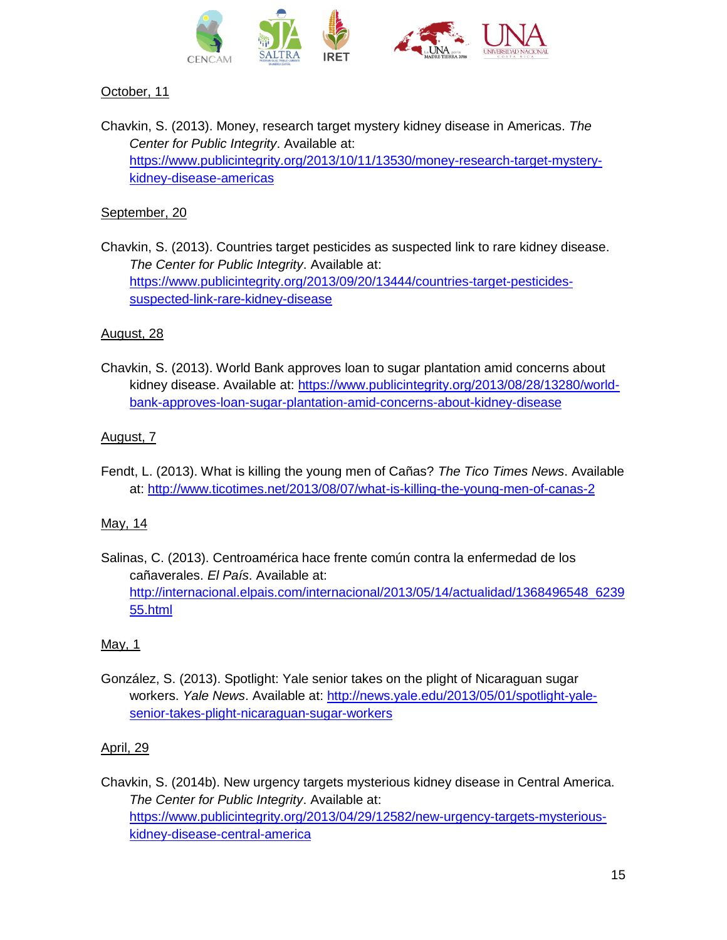

# October, 11

Chavkin, S. (2013). Money, research target mystery kidney disease in Americas. *The Center for Public Integrity*. Available at: [https://www.publicintegrity.org/2013/10/11/13530/money-research-target-mystery](https://www.publicintegrity.org/2013/10/11/13530/money-research-target-mystery-kidney-disease-americas)[kidney-disease-americas](https://www.publicintegrity.org/2013/10/11/13530/money-research-target-mystery-kidney-disease-americas)

### September, 20

Chavkin, S. (2013). Countries target pesticides as suspected link to rare kidney disease. *The Center for Public Integrity*. Available at: [https://www.publicintegrity.org/2013/09/20/13444/countries-target-pesticides](https://www.publicintegrity.org/2013/09/20/13444/countries-target-pesticides-suspected-link-rare-kidney-disease)[suspected-link-rare-kidney-disease](https://www.publicintegrity.org/2013/09/20/13444/countries-target-pesticides-suspected-link-rare-kidney-disease)

### August, 28

Chavkin, S. (2013). World Bank approves loan to sugar plantation amid concerns about kidney disease. Available at: [https://www.publicintegrity.org/2013/08/28/13280/world](https://www.publicintegrity.org/2013/08/28/13280/world-bank-approves-loan-sugar-plantation-amid-concerns-about-kidney-disease)[bank-approves-loan-sugar-plantation-amid-concerns-about-kidney-disease](https://www.publicintegrity.org/2013/08/28/13280/world-bank-approves-loan-sugar-plantation-amid-concerns-about-kidney-disease)

### August, 7

Fendt, L. (2013). What is killing the young men of Cañas? *The Tico Times News*. Available at: <http://www.ticotimes.net/2013/08/07/what-is-killing-the-young-men-of-canas-2>

#### May, 14

Salinas, C. (2013). Centroamérica hace frente común contra la enfermedad de los cañaverales. *El País*. Available at: [http://internacional.elpais.com/internacional/2013/05/14/actualidad/1368496548\\_6239](http://internacional.elpais.com/internacional/2013/05/14/actualidad/1368496548_623955.html) [55.html](http://internacional.elpais.com/internacional/2013/05/14/actualidad/1368496548_623955.html)

#### May, 1

González, S. (2013). Spotlight: Yale senior takes on the plight of Nicaraguan sugar workers. *Yale News*. Available at: [http://news.yale.edu/2013/05/01/spotlight-yale](http://news.yale.edu/2013/05/01/spotlight-yale-senior-takes-plight-nicaraguan-sugar-workers)[senior-takes-plight-nicaraguan-sugar-workers](http://news.yale.edu/2013/05/01/spotlight-yale-senior-takes-plight-nicaraguan-sugar-workers)

#### April, 29

Chavkin, S. (2014b). New urgency targets mysterious kidney disease in Central America. *The Center for Public Integrity*. Available at: [https://www.publicintegrity.org/2013/04/29/12582/new-urgency-targets-mysterious](https://www.publicintegrity.org/2013/04/29/12582/new-urgency-targets-mysterious-kidney-disease-central-america)[kidney-disease-central-america](https://www.publicintegrity.org/2013/04/29/12582/new-urgency-targets-mysterious-kidney-disease-central-america)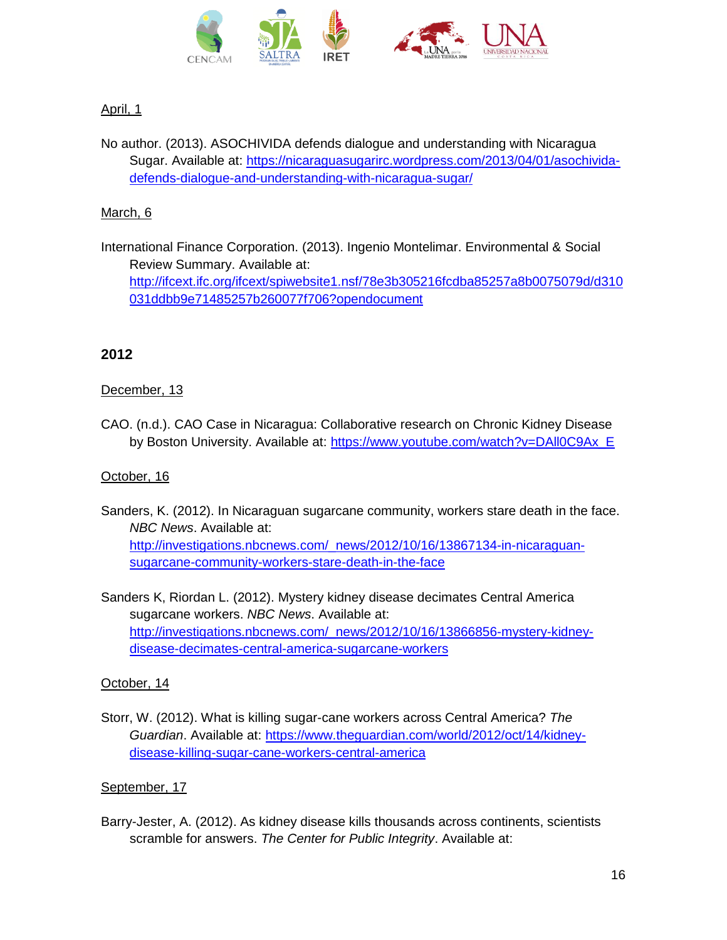

# April, 1

No author. (2013). ASOCHIVIDA defends dialogue and understanding with Nicaragua Sugar. Available at: [https://nicaraguasugarirc.wordpress.com/2013/04/01/asochivida](https://nicaraguasugarirc.wordpress.com/2013/04/01/asochivida-defends-dialogue-and-understanding-with-nicaragua-sugar/)[defends-dialogue-and-understanding-with-nicaragua-sugar/](https://nicaraguasugarirc.wordpress.com/2013/04/01/asochivida-defends-dialogue-and-understanding-with-nicaragua-sugar/)

# March, 6

International Finance Corporation. (2013). Ingenio Montelimar. Environmental & Social Review Summary. Available at: [http://ifcext.ifc.org/ifcext/spiwebsite1.nsf/78e3b305216fcdba85257a8b0075079d/d310](http://ifcext.ifc.org/ifcext/spiwebsite1.nsf/78e3b305216fcdba85257a8b0075079d/d310031ddbb9e71485257b260077f706?opendocument) [031ddbb9e71485257b260077f706?opendocument](http://ifcext.ifc.org/ifcext/spiwebsite1.nsf/78e3b305216fcdba85257a8b0075079d/d310031ddbb9e71485257b260077f706?opendocument)

# **2012**

# December, 13

CAO. (n.d.). CAO Case in Nicaragua: Collaborative research on Chronic Kidney Disease by Boston University. Available at: [https://www.youtube.com/watch?v=DAll0C9Ax\\_E](https://www.youtube.com/watch?v=DAll0C9Ax_E)

# October, 16

- Sanders, K. (2012). In Nicaraguan sugarcane community, workers stare death in the face. *NBC News*. Available at: [http://investigations.nbcnews.com/\\_news/2012/10/16/13867134-in-nicaraguan](http://investigations.nbcnews.com/_news/2012/10/16/13867134-in-nicaraguan-sugarcane-community-workers-stare-death-in-the-face)[sugarcane-community-workers-stare-death-in-the-face](http://investigations.nbcnews.com/_news/2012/10/16/13867134-in-nicaraguan-sugarcane-community-workers-stare-death-in-the-face)
- Sanders K, Riordan L. (2012). Mystery kidney disease decimates Central America sugarcane workers. *NBC News*. Available at: [http://investigations.nbcnews.com/\\_news/2012/10/16/13866856-mystery-kidney](http://investigations.nbcnews.com/_news/2012/10/16/13866856-mystery-kidney-disease-decimates-central-america-sugarcane-workers)[disease-decimates-central-america-sugarcane-workers](http://investigations.nbcnews.com/_news/2012/10/16/13866856-mystery-kidney-disease-decimates-central-america-sugarcane-workers)

# October, 14

Storr, W. (2012). What is killing sugar-cane workers across Central America? *The Guardian*. Available at: [https://www.theguardian.com/world/2012/oct/14/kidney](https://www.theguardian.com/world/2012/oct/14/kidney-disease-killing-sugar-cane-workers-central-america)[disease-killing-sugar-cane-workers-central-america](https://www.theguardian.com/world/2012/oct/14/kidney-disease-killing-sugar-cane-workers-central-america)

# September, 17

Barry-Jester, A. (2012). As kidney disease kills thousands across continents, scientists scramble for answers. *The Center for Public Integrity*. Available at: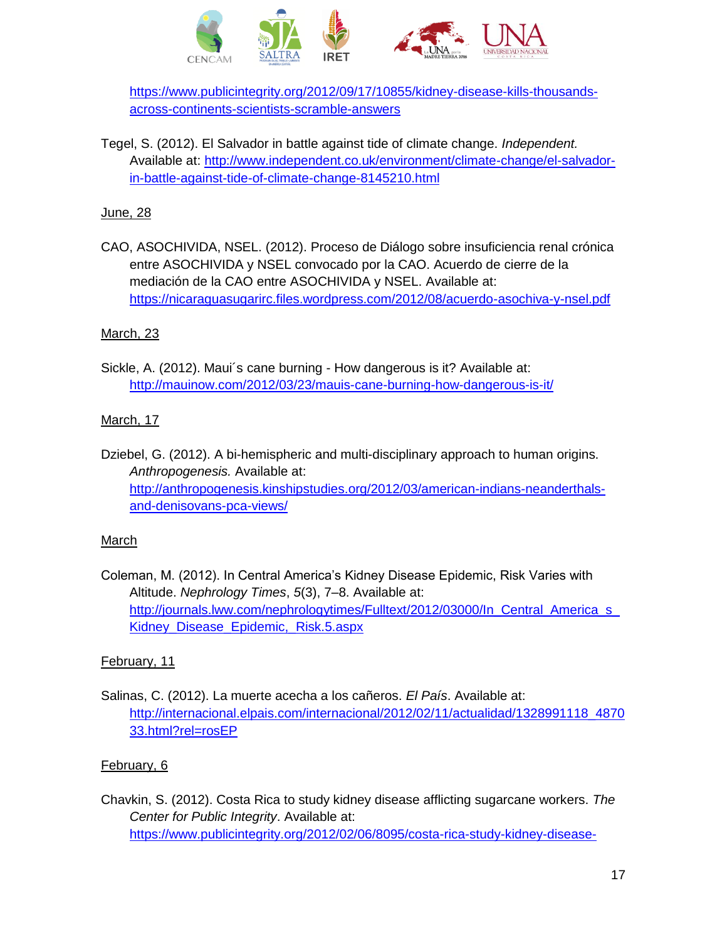

[https://www.publicintegrity.org/2012/09/17/10855/kidney-disease-kills-thousands](https://www.publicintegrity.org/2012/09/17/10855/kidney-disease-kills-thousands-across-continents-scientists-scramble-answers)[across-continents-scientists-scramble-answers](https://www.publicintegrity.org/2012/09/17/10855/kidney-disease-kills-thousands-across-continents-scientists-scramble-answers)

Tegel, S. (2012). El Salvador in battle against tide of climate change. *Independent.* Available at: [http://www.independent.co.uk/environment/climate-change/el-salvador](http://www.independent.co.uk/environment/climate-change/el-salvador-in-battle-against-tide-of-climate-change-8145210.html)[in-battle-against-tide-of-climate-change-8145210.html](http://www.independent.co.uk/environment/climate-change/el-salvador-in-battle-against-tide-of-climate-change-8145210.html)

# June, 28

CAO, ASOCHIVIDA, NSEL. (2012). Proceso de Diálogo sobre insuficiencia renal crónica entre ASOCHIVIDA y NSEL convocado por la CAO. Acuerdo de cierre de la mediación de la CAO entre ASOCHIVIDA y NSEL. Available at: <https://nicaraguasugarirc.files.wordpress.com/2012/08/acuerdo-asochiva-y-nsel.pdf>

### March, 23

Sickle, A. (2012). Maui´s cane burning - How dangerous is it? Available at: <http://mauinow.com/2012/03/23/mauis-cane-burning-how-dangerous-is-it/>

### March, 17

Dziebel, G. (2012). A bi-hemispheric and multi-disciplinary approach to human origins. *Anthropogenesis.* Available at: [http://anthropogenesis.kinshipstudies.org/2012/03/american-indians-neanderthals](http://anthropogenesis.kinshipstudies.org/2012/03/american-indians-neanderthals-and-denisovans-pca-views/)[and-denisovans-pca-views/](http://anthropogenesis.kinshipstudies.org/2012/03/american-indians-neanderthals-and-denisovans-pca-views/)

#### March

Coleman, M. (2012). In Central America's Kidney Disease Epidemic, Risk Varies with Altitude. *Nephrology Times*, *5*(3), 7–8. Available at: http://journals.lww.com/nephrologytimes/Fulltext/2012/03000/In Central America s [Kidney\\_Disease\\_Epidemic,\\_Risk.5.aspx](http://journals.lww.com/nephrologytimes/Fulltext/2012/03000/In_Central_America_s_Kidney_Disease_Epidemic,_Risk.5.aspx)

# February, 11

Salinas, C. (2012). La muerte acecha a los cañeros. *El País*. Available at: [http://internacional.elpais.com/internacional/2012/02/11/actualidad/1328991118\\_4870](http://internacional.elpais.com/internacional/2012/02/11/actualidad/1328991118_487033.html?rel=rosEP) [33.html?rel=rosEP](http://internacional.elpais.com/internacional/2012/02/11/actualidad/1328991118_487033.html?rel=rosEP)

# February, 6

Chavkin, S. (2012). Costa Rica to study kidney disease afflicting sugarcane workers. *The Center for Public Integrity*. Available at: [https://www.publicintegrity.org/2012/02/06/8095/costa-rica-study-kidney-disease-](https://www.publicintegrity.org/2012/02/06/8095/costa-rica-study-kidney-disease-afflicting-sugarcane-workers)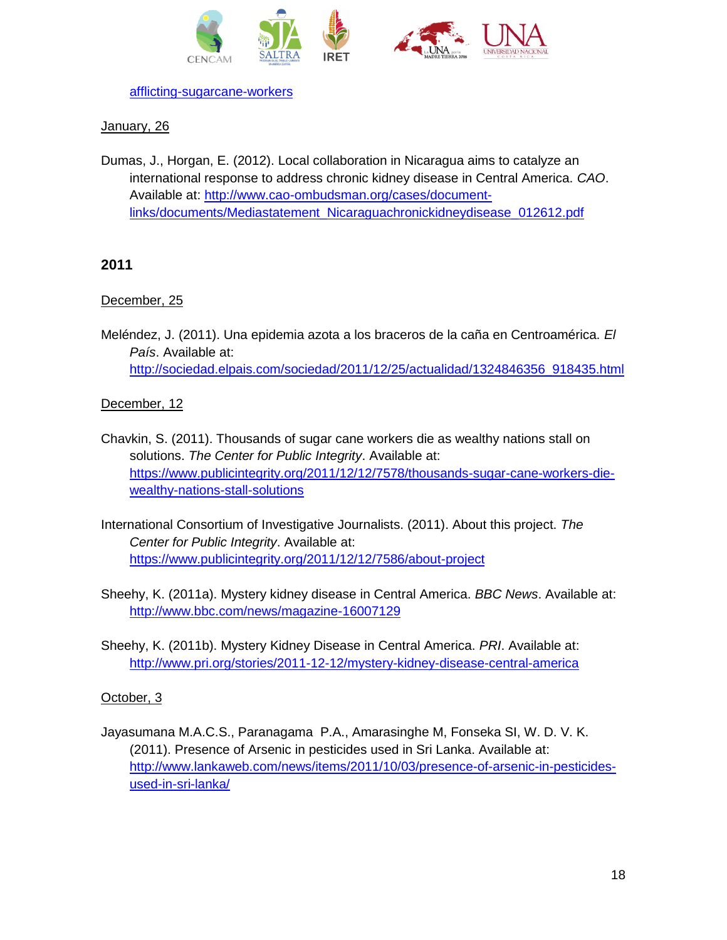



[afflicting-sugarcane-workers](https://www.publicintegrity.org/2012/02/06/8095/costa-rica-study-kidney-disease-afflicting-sugarcane-workers)

# January, 26

Dumas, J., Horgan, E. (2012). Local collaboration in Nicaragua aims to catalyze an international response to address chronic kidney disease in Central America. *CAO*. Available at: [http://www.cao-ombudsman.org/cases/document](http://www.cao-ombudsman.org/cases/document-links/documents/Mediastatement_Nicaraguachronickidneydisease_012612.pdf)[links/documents/Mediastatement\\_Nicaraguachronickidneydisease\\_012612.pdf](http://www.cao-ombudsman.org/cases/document-links/documents/Mediastatement_Nicaraguachronickidneydisease_012612.pdf)

# **2011**

# December, 25

Meléndez, J. (2011). Una epidemia azota a los braceros de la caña en Centroamérica. *El País*. Available at: [http://sociedad.elpais.com/sociedad/2011/12/25/actualidad/1324846356\\_918435.html](http://sociedad.elpais.com/sociedad/2011/12/25/actualidad/1324846356_918435.html)

# December, 12

- Chavkin, S. (2011). Thousands of sugar cane workers die as wealthy nations stall on solutions. *The Center for Public Integrity*. Available at: [https://www.publicintegrity.org/2011/12/12/7578/thousands-sugar-cane-workers-die](https://www.publicintegrity.org/2011/12/12/7578/thousands-sugar-cane-workers-die-wealthy-nations-stall-solutions)[wealthy-nations-stall-solutions](https://www.publicintegrity.org/2011/12/12/7578/thousands-sugar-cane-workers-die-wealthy-nations-stall-solutions)
- International Consortium of Investigative Journalists. (2011). About this project. *The Center for Public Integrity*. Available at: <https://www.publicintegrity.org/2011/12/12/7586/about-project>
- Sheehy, K. (2011a). Mystery kidney disease in Central America. *BBC News*. Available at: <http://www.bbc.com/news/magazine-16007129>
- Sheehy, K. (2011b). Mystery Kidney Disease in Central America. *PRI*. Available at: <http://www.pri.org/stories/2011-12-12/mystery-kidney-disease-central-america>

# October, 3

Jayasumana M.A.C.S., Paranagama P.A., Amarasinghe M, Fonseka SI, W. D. V. K. (2011). Presence of Arsenic in pesticides used in Sri Lanka. Available at: [http://www.lankaweb.com/news/items/2011/10/03/presence-of-arsenic-in-pesticides](http://www.lankaweb.com/news/items/2011/10/03/presence-of-arsenic-in-pesticides-used-in-sri-lanka/)[used-in-sri-lanka/](http://www.lankaweb.com/news/items/2011/10/03/presence-of-arsenic-in-pesticides-used-in-sri-lanka/)